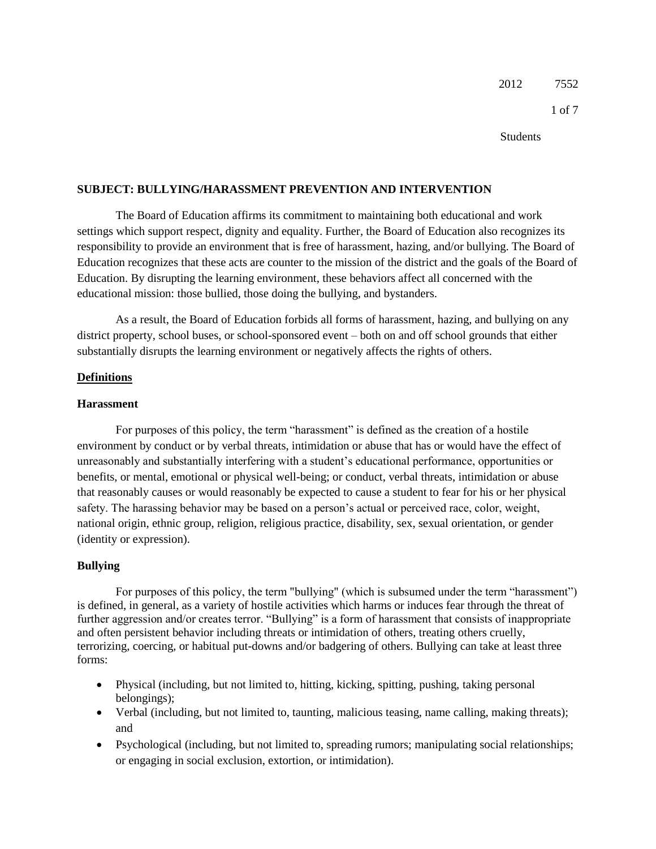2012 7552

1 of 7

Students

### **SUBJECT: BULLYING/HARASSMENT PREVENTION AND INTERVENTION**

The Board of Education affirms its commitment to maintaining both educational and work settings which support respect, dignity and equality. Further, the Board of Education also recognizes its responsibility to provide an environment that is free of harassment, hazing, and/or bullying. The Board of Education recognizes that these acts are counter to the mission of the district and the goals of the Board of Education. By disrupting the learning environment, these behaviors affect all concerned with the educational mission: those bullied, those doing the bullying, and bystanders.

As a result, the Board of Education forbids all forms of harassment, hazing, and bullying on any district property, school buses, or school-sponsored event – both on and off school grounds that either substantially disrupts the learning environment or negatively affects the rights of others.

## **Definitions**

## **Harassment**

For purposes of this policy, the term "harassment" is defined as the creation of a hostile environment by conduct or by verbal threats, intimidation or abuse that has or would have the effect of unreasonably and substantially interfering with a student's educational performance, opportunities or benefits, or mental, emotional or physical well-being; or conduct, verbal threats, intimidation or abuse that reasonably causes or would reasonably be expected to cause a student to fear for his or her physical safety. The harassing behavior may be based on a person's actual or perceived race, color, weight, national origin, ethnic group, religion, religious practice, disability, sex, sexual orientation, or gender (identity or expression).

## **Bullying**

For purposes of this policy, the term "bullying" (which is subsumed under the term "harassment") is defined, in general, as a variety of hostile activities which harms or induces fear through the threat of further aggression and/or creates terror. "Bullying" is a form of harassment that consists of inappropriate and often persistent behavior including threats or intimidation of others, treating others cruelly, terrorizing, coercing, or habitual put-downs and/or badgering of others. Bullying can take at least three forms:

- Physical (including, but not limited to, hitting, kicking, spitting, pushing, taking personal belongings);
- Verbal (including, but not limited to, taunting, malicious teasing, name calling, making threats); and
- Psychological (including, but not limited to, spreading rumors; manipulating social relationships; or engaging in social exclusion, extortion, or intimidation).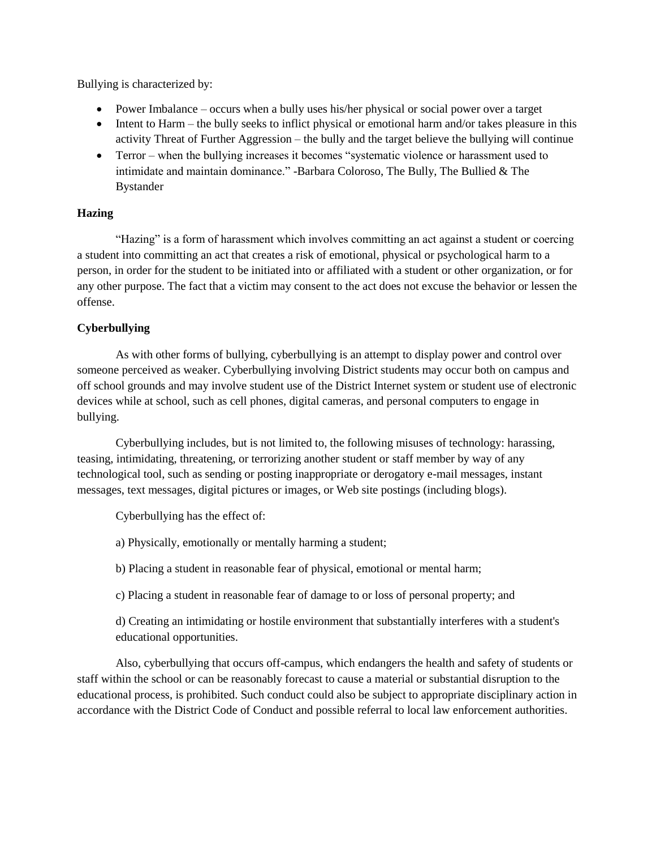Bullying is characterized by:

- Power Imbalance occurs when a bully uses his/her physical or social power over a target
- Intent to Harm the bully seeks to inflict physical or emotional harm and/or takes pleasure in this activity Threat of Further Aggression – the bully and the target believe the bullying will continue
- Terror when the bullying increases it becomes "systematic violence or harassment used to intimidate and maintain dominance." -Barbara Coloroso, The Bully, The Bullied & The Bystander

## **Hazing**

"Hazing" is a form of harassment which involves committing an act against a student or coercing a student into committing an act that creates a risk of emotional, physical or psychological harm to a person, in order for the student to be initiated into or affiliated with a student or other organization, or for any other purpose. The fact that a victim may consent to the act does not excuse the behavior or lessen the offense.

# **Cyberbullying**

As with other forms of bullying, cyberbullying is an attempt to display power and control over someone perceived as weaker. Cyberbullying involving District students may occur both on campus and off school grounds and may involve student use of the District Internet system or student use of electronic devices while at school, such as cell phones, digital cameras, and personal computers to engage in bullying.

Cyberbullying includes, but is not limited to, the following misuses of technology: harassing, teasing, intimidating, threatening, or terrorizing another student or staff member by way of any technological tool, such as sending or posting inappropriate or derogatory e-mail messages, instant messages, text messages, digital pictures or images, or Web site postings (including blogs).

Cyberbullying has the effect of:

a) Physically, emotionally or mentally harming a student;

b) Placing a student in reasonable fear of physical, emotional or mental harm;

c) Placing a student in reasonable fear of damage to or loss of personal property; and

d) Creating an intimidating or hostile environment that substantially interferes with a student's educational opportunities.

Also, cyberbullying that occurs off-campus, which endangers the health and safety of students or staff within the school or can be reasonably forecast to cause a material or substantial disruption to the educational process, is prohibited. Such conduct could also be subject to appropriate disciplinary action in accordance with the District Code of Conduct and possible referral to local law enforcement authorities.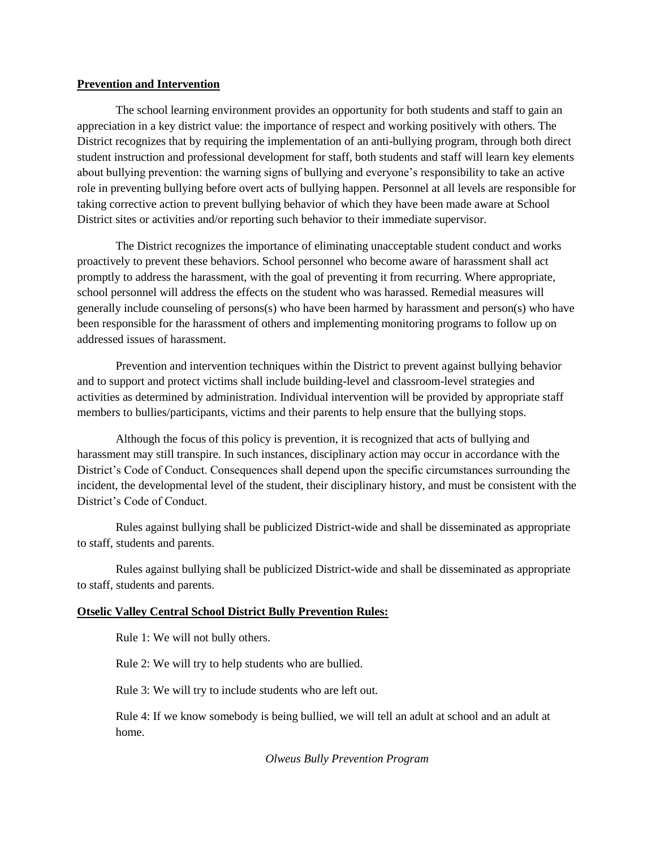#### **Prevention and Intervention**

The school learning environment provides an opportunity for both students and staff to gain an appreciation in a key district value: the importance of respect and working positively with others. The District recognizes that by requiring the implementation of an anti-bullying program, through both direct student instruction and professional development for staff, both students and staff will learn key elements about bullying prevention: the warning signs of bullying and everyone's responsibility to take an active role in preventing bullying before overt acts of bullying happen. Personnel at all levels are responsible for taking corrective action to prevent bullying behavior of which they have been made aware at School District sites or activities and/or reporting such behavior to their immediate supervisor.

The District recognizes the importance of eliminating unacceptable student conduct and works proactively to prevent these behaviors. School personnel who become aware of harassment shall act promptly to address the harassment, with the goal of preventing it from recurring. Where appropriate, school personnel will address the effects on the student who was harassed. Remedial measures will generally include counseling of persons(s) who have been harmed by harassment and person(s) who have been responsible for the harassment of others and implementing monitoring programs to follow up on addressed issues of harassment.

Prevention and intervention techniques within the District to prevent against bullying behavior and to support and protect victims shall include building-level and classroom-level strategies and activities as determined by administration. Individual intervention will be provided by appropriate staff members to bullies/participants, victims and their parents to help ensure that the bullying stops.

Although the focus of this policy is prevention, it is recognized that acts of bullying and harassment may still transpire. In such instances, disciplinary action may occur in accordance with the District's Code of Conduct. Consequences shall depend upon the specific circumstances surrounding the incident, the developmental level of the student, their disciplinary history, and must be consistent with the District's Code of Conduct.

Rules against bullying shall be publicized District-wide and shall be disseminated as appropriate to staff, students and parents.

Rules against bullying shall be publicized District-wide and shall be disseminated as appropriate to staff, students and parents.

## **Otselic Valley Central School District Bully Prevention Rules:**

Rule 1: We will not bully others.

Rule 2: We will try to help students who are bullied.

Rule 3: We will try to include students who are left out.

Rule 4: If we know somebody is being bullied, we will tell an adult at school and an adult at home.

*Olweus Bully Prevention Program*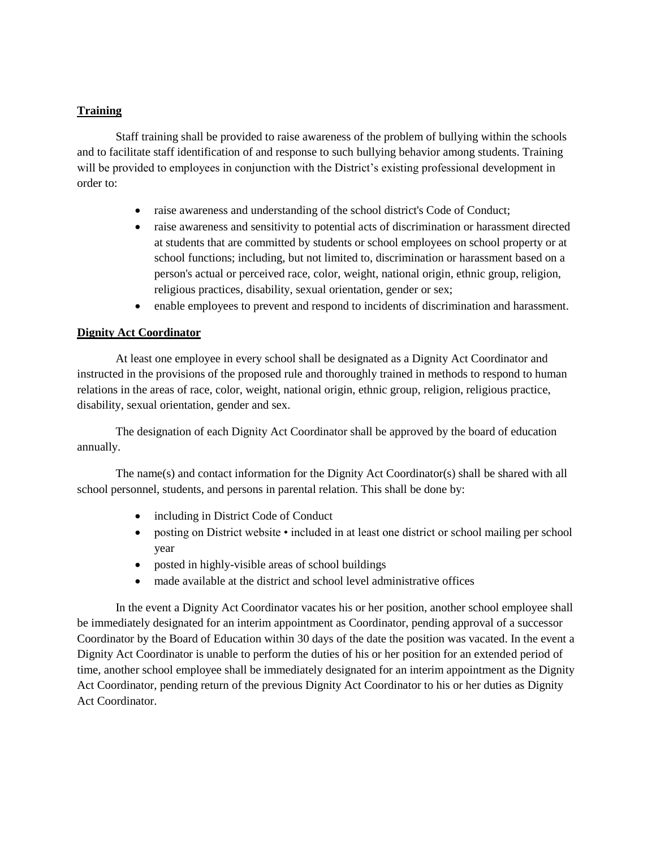## **Training**

Staff training shall be provided to raise awareness of the problem of bullying within the schools and to facilitate staff identification of and response to such bullying behavior among students. Training will be provided to employees in conjunction with the District's existing professional development in order to:

- raise awareness and understanding of the school district's Code of Conduct;
- raise awareness and sensitivity to potential acts of discrimination or harassment directed at students that are committed by students or school employees on school property or at school functions; including, but not limited to, discrimination or harassment based on a person's actual or perceived race, color, weight, national origin, ethnic group, religion, religious practices, disability, sexual orientation, gender or sex;
- enable employees to prevent and respond to incidents of discrimination and harassment.

## **Dignity Act Coordinator**

At least one employee in every school shall be designated as a Dignity Act Coordinator and instructed in the provisions of the proposed rule and thoroughly trained in methods to respond to human relations in the areas of race, color, weight, national origin, ethnic group, religion, religious practice, disability, sexual orientation, gender and sex.

The designation of each Dignity Act Coordinator shall be approved by the board of education annually.

The name(s) and contact information for the Dignity Act Coordinator(s) shall be shared with all school personnel, students, and persons in parental relation. This shall be done by:

- including in District Code of Conduct
- posting on District website included in at least one district or school mailing per school year
- posted in highly-visible areas of school buildings
- made available at the district and school level administrative offices

In the event a Dignity Act Coordinator vacates his or her position, another school employee shall be immediately designated for an interim appointment as Coordinator, pending approval of a successor Coordinator by the Board of Education within 30 days of the date the position was vacated. In the event a Dignity Act Coordinator is unable to perform the duties of his or her position for an extended period of time, another school employee shall be immediately designated for an interim appointment as the Dignity Act Coordinator, pending return of the previous Dignity Act Coordinator to his or her duties as Dignity Act Coordinator.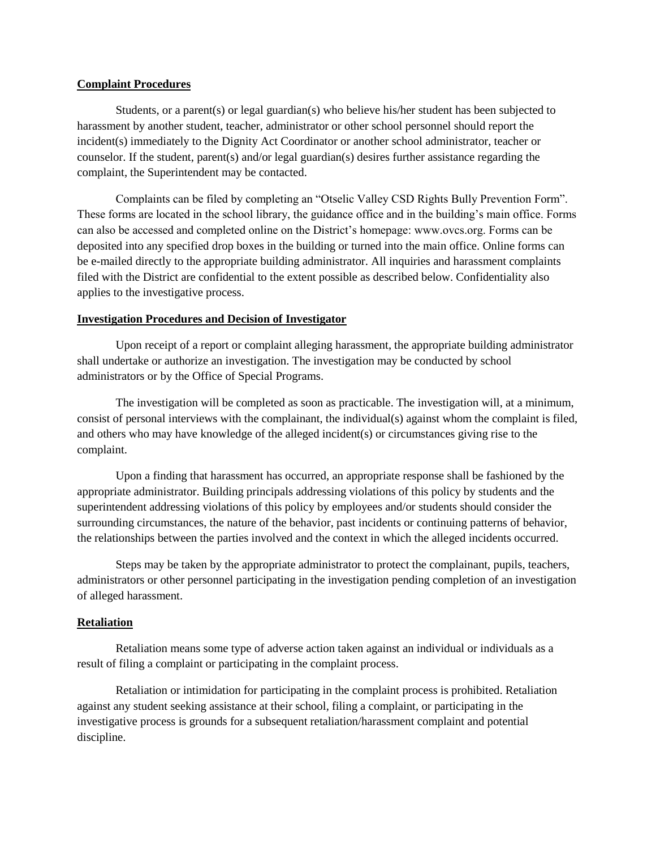#### **Complaint Procedures**

Students, or a parent(s) or legal guardian(s) who believe his/her student has been subjected to harassment by another student, teacher, administrator or other school personnel should report the incident(s) immediately to the Dignity Act Coordinator or another school administrator, teacher or counselor. If the student, parent(s) and/or legal guardian(s) desires further assistance regarding the complaint, the Superintendent may be contacted.

Complaints can be filed by completing an "Otselic Valley CSD Rights Bully Prevention Form". These forms are located in the school library, the guidance office and in the building's main office. Forms can also be accessed and completed online on the District's homepage: www.ovcs.org. Forms can be deposited into any specified drop boxes in the building or turned into the main office. Online forms can be e-mailed directly to the appropriate building administrator. All inquiries and harassment complaints filed with the District are confidential to the extent possible as described below. Confidentiality also applies to the investigative process.

#### **Investigation Procedures and Decision of Investigator**

Upon receipt of a report or complaint alleging harassment, the appropriate building administrator shall undertake or authorize an investigation. The investigation may be conducted by school administrators or by the Office of Special Programs.

The investigation will be completed as soon as practicable. The investigation will, at a minimum, consist of personal interviews with the complainant, the individual(s) against whom the complaint is filed, and others who may have knowledge of the alleged incident(s) or circumstances giving rise to the complaint.

Upon a finding that harassment has occurred, an appropriate response shall be fashioned by the appropriate administrator. Building principals addressing violations of this policy by students and the superintendent addressing violations of this policy by employees and/or students should consider the surrounding circumstances, the nature of the behavior, past incidents or continuing patterns of behavior, the relationships between the parties involved and the context in which the alleged incidents occurred.

Steps may be taken by the appropriate administrator to protect the complainant, pupils, teachers, administrators or other personnel participating in the investigation pending completion of an investigation of alleged harassment.

## **Retaliation**

Retaliation means some type of adverse action taken against an individual or individuals as a result of filing a complaint or participating in the complaint process.

Retaliation or intimidation for participating in the complaint process is prohibited. Retaliation against any student seeking assistance at their school, filing a complaint, or participating in the investigative process is grounds for a subsequent retaliation/harassment complaint and potential discipline.